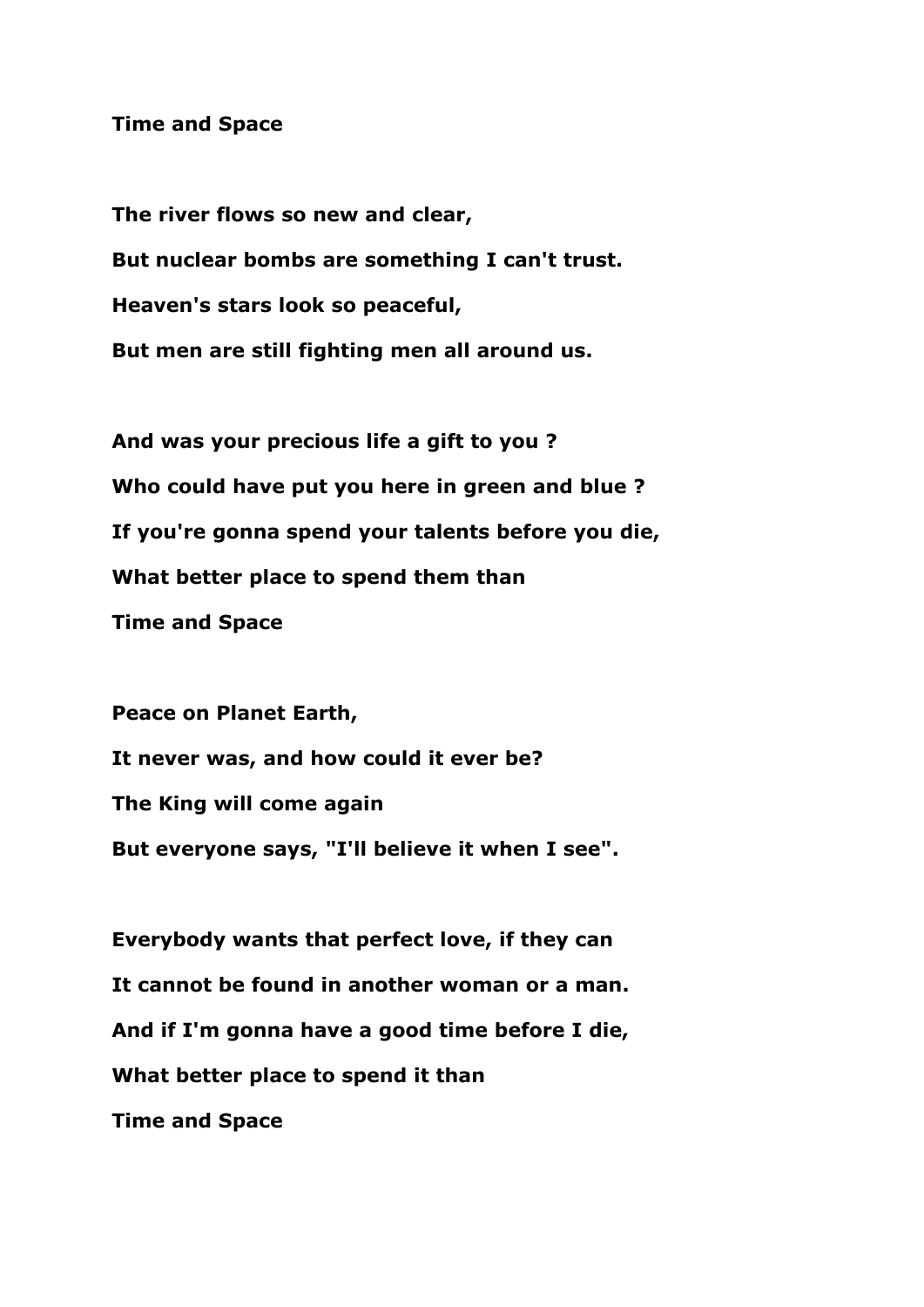## **Time and Space**

**The river flows so new and clear, But nuclear bombs are something I can't trust. Heaven's stars look so peaceful, But men are still fighting men all around us.**

**And was your precious life a gift to you ? Who could have put you here in green and blue ? If you're gonna spend your talents before you die, What better place to spend them than Time and Space**

**Peace on Planet Earth, It never was, and how could it ever be? The King will come again But everyone says, "I'll believe it when I see".**

**Everybody wants that perfect love, if they can It cannot be found in another woman or a man. And if I'm gonna have a good time before I die, What better place to spend it than Time and Space**